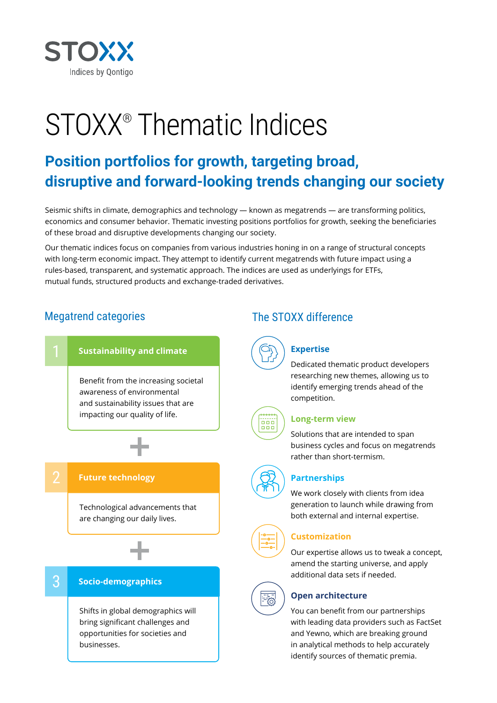

# STOXX® Thematic Indices

# **Position portfolios for growth, targeting broad, disruptive and forward-looking trends changing our society**

Seismic shifts in climate, demographics and technology — known as megatrends — are transforming politics, economics and consumer behavior. Thematic investing positions portfolios for growth, seeking the beneficiaries of these broad and disruptive developments changing our society.

Our thematic indices focus on companies from various industries honing in on a range of structural concepts with long-term economic impact. They attempt to identify current megatrends with future impact using a rules-based, transparent, and systematic approach. The indices are used as underlyings for ETFs, mutual funds, structured products and exchange-traded derivatives.

# Megatrend categories The STOXX difference



businesses.



#### **Expertise**

Dedicated thematic product developers researching new themes, allowing us to identify emerging trends ahead of the competition.



 $\equiv \frac{1}{\sqrt{2}}$ 

#### **Long-term view**

Solutions that are intended to span business cycles and focus on megatrends rather than short-termism.



#### **Partnerships**

We work closely with clients from idea generation to launch while drawing from both external and internal expertise.

#### **Customization**

Our expertise allows us to tweak a concept, amend the starting universe, and apply additional data sets if needed.

#### **Open architecture**

You can benefit from our partnerships with leading data providers such as FactSet and Yewno, which are breaking ground in analytical methods to help accurately identify sources of thematic premia.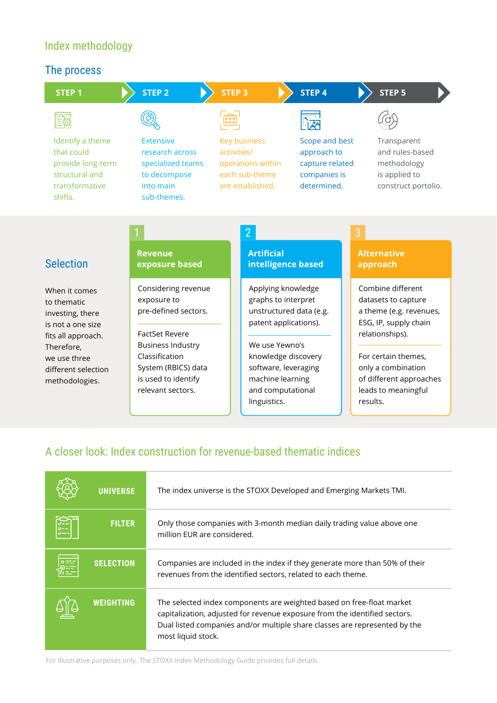# Index methodology

#### The process



## A closer look: Index construction for revenue-based thematic indices

|   | <b>UNIVERSE</b>  | The index universe is the STOXX Developed and Emerging Markets TMI.                                                                                                                                                                                     |
|---|------------------|---------------------------------------------------------------------------------------------------------------------------------------------------------------------------------------------------------------------------------------------------------|
|   | <b>FILTER</b>    | Only those companies with 3-month median daily trading value above one<br>million EUR are considered.                                                                                                                                                   |
| 舞 | <b>SELECTION</b> | Companies are included in the index if they generate more than 50% of their<br>revenues from the identified sectors, related to each theme.                                                                                                             |
|   | <b>WEIGHTING</b> | The selected index components are weighted based on free-float market<br>capitalization, adjusted for revenue exposure from the identified sectors.<br>Dual listed companies and/or multiple share classes are represented by the<br>most liquid stock. |

For illustrative purposes only. The STOXX Index Methodology Guide provides full details.